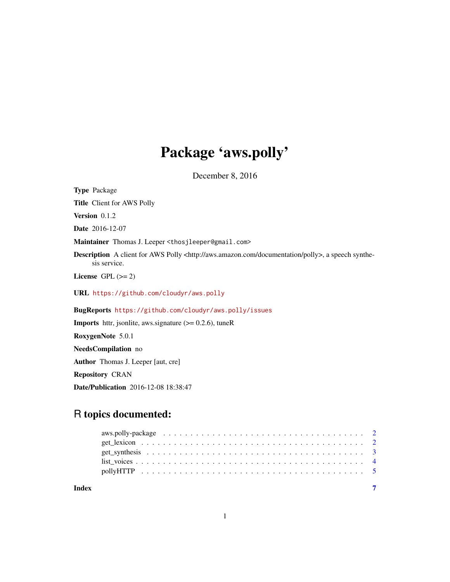## Package 'aws.polly'

December 8, 2016

<span id="page-0-0"></span>Type Package

Title Client for AWS Polly

Version 0.1.2

Date 2016-12-07

Maintainer Thomas J. Leeper <thosjleeper@gmail.com>

Description A client for AWS Polly <http://aws.amazon.com/documentation/polly>, a speech synthesis service.

License GPL  $(>= 2)$ 

URL <https://github.com/cloudyr/aws.polly>

BugReports <https://github.com/cloudyr/aws.polly/issues>

**Imports** httr, jsonlite, aws.signature  $(>= 0.2.6)$ , tuneR RoxygenNote 5.0.1 NeedsCompilation no Author Thomas J. Leeper [aut, cre] Repository CRAN Date/Publication 2016-12-08 18:38:47

### R topics documented: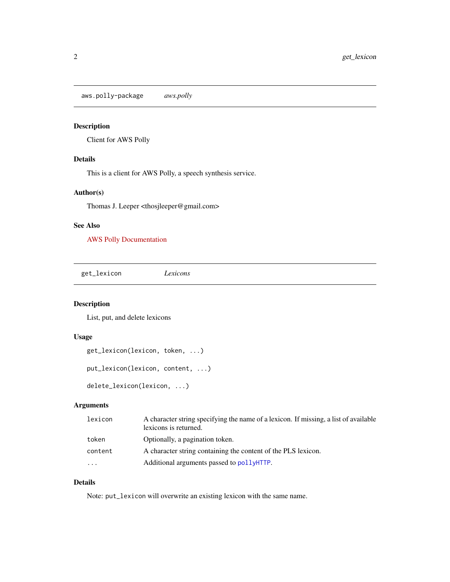<span id="page-1-0"></span>aws.polly-package *aws.polly*

#### Description

Client for AWS Polly

#### Details

This is a client for AWS Polly, a speech synthesis service.

#### Author(s)

Thomas J. Leeper <thosjleeper@gmail.com>

#### See Also

[AWS Polly Documentation](http://aws.amazon.com/documentation/polly)

<span id="page-1-1"></span>get\_lexicon *Lexicons*

#### Description

List, put, and delete lexicons

#### Usage

```
get_lexicon(lexicon, token, ...)
put_lexicon(lexicon, content, ...)
delete_lexicon(lexicon, ...)
```
#### Arguments

| lexicon  | A character string specifying the name of a lexicon. If missing, a list of available<br>lexicons is returned. |
|----------|---------------------------------------------------------------------------------------------------------------|
| token    | Optionally, a pagination token.                                                                               |
| content  | A character string containing the content of the PLS lexicon.                                                 |
| $\cdots$ | Additional arguments passed to pollyHTTP.                                                                     |

#### Details

Note: put\_lexicon will overwrite an existing lexicon with the same name.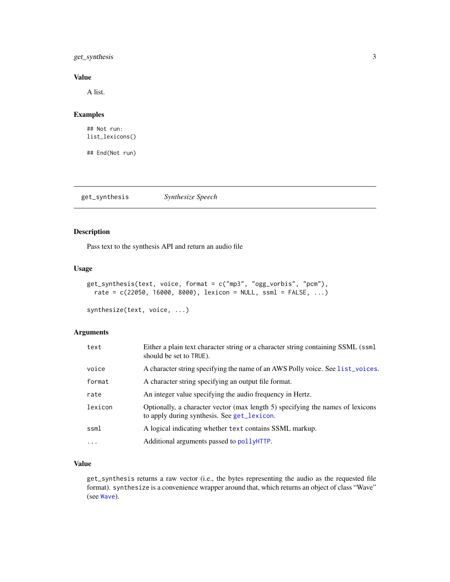#### <span id="page-2-0"></span>get\_synthesis 3

#### Value

A list.

#### Examples

```
## Not run:
list_lexicons()
```
## End(Not run)

get\_synthesis *Synthesize Speech*

#### Description

Pass text to the synthesis API and return an audio file

#### Usage

```
get_synthesis(text, voice, format = c("mp3", "ogg_vorbis", "pcm"),
  rate = c(22050, 16000, 8000), lexicon = NULL, ssml = FALSE, ...)
```

```
synthesize(text, voice, ...)
```
#### Arguments

| text      | Either a plain text character string or a character string containing SSML (ssml<br>should be set to TRUE).                   |
|-----------|-------------------------------------------------------------------------------------------------------------------------------|
| voice     | A character string specifying the name of an AWS Polly voice. See list_voices.                                                |
| format    | A character string specifying an output file format.                                                                          |
| rate      | An integer value specifying the audio frequency in Hertz.                                                                     |
| lexicon   | Optionally, a character vector (max length 5) specifying the names of lexicons<br>to apply during synthesis. See get_lexicon. |
| ssml      | A logical indicating whether text contains SSML markup.                                                                       |
| $\ddotsc$ | Additional arguments passed to pollyHTTP.                                                                                     |

#### Value

get\_synthesis returns a raw vector (i.e., the bytes representing the audio as the requested file format). synthesize is a convenience wrapper around that, which returns an object of class "Wave" (see [Wave](#page-0-0)).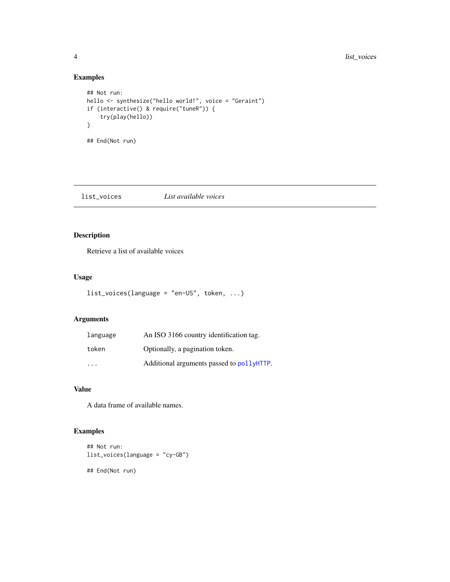#### Examples

```
## Not run:
hello <- synthesize("hello world!", voice = "Geraint")
if (interactive() & require("tuneR")) {
   try(play(hello))
}
## End(Not run)
```
<span id="page-3-1"></span>list\_voices *List available voices*

#### Description

Retrieve a list of available voices

#### Usage

```
list_voices(language = "en-US", token, ...)
```
#### Arguments

| language | An ISO 3166 country identification tag.   |
|----------|-------------------------------------------|
| token    | Optionally, a pagination token.           |
| .        | Additional arguments passed to pollyHTTP. |

#### Value

A data frame of available names.

#### Examples

```
## Not run:
list_voices(language = "cy-GB")
## End(Not run)
```
<span id="page-3-0"></span>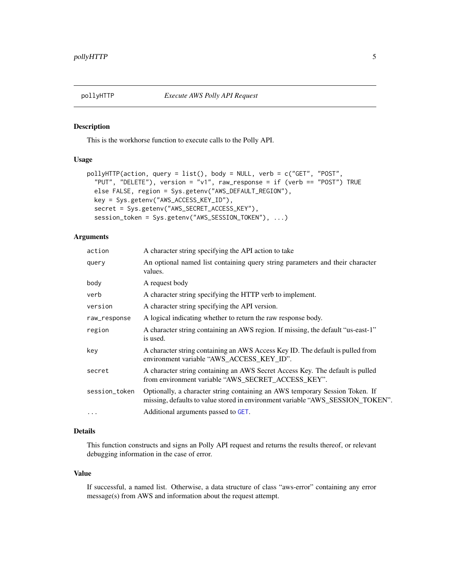<span id="page-4-1"></span><span id="page-4-0"></span>

#### Description

This is the workhorse function to execute calls to the Polly API.

#### Usage

```
pollyHTTP(action, query = list(), body = NULL, verb = c("GET", "POST",
  "PUT", "DELETE"), version = "v1", raw_response = if (verb == "POST") TRUE
  else FALSE, region = Sys.getenv("AWS_DEFAULT_REGION"),
  key = Sys.getenv("AWS_ACCESS_KEY_ID"),
  secret = Sys.getenv("AWS_SECRET_ACCESS_KEY"),
  session_token = Sys.getenv("AWS_SESSION_TOKEN"), ...)
```
#### Arguments

| action        | A character string specifying the API action to take                                                                                                           |
|---------------|----------------------------------------------------------------------------------------------------------------------------------------------------------------|
| query         | An optional named list containing query string parameters and their character<br>values.                                                                       |
| body          | A request body                                                                                                                                                 |
| verb          | A character string specifying the HTTP verb to implement.                                                                                                      |
| version       | A character string specifying the API version.                                                                                                                 |
| raw_response  | A logical indicating whether to return the raw response body.                                                                                                  |
| region        | A character string containing an AWS region. If missing, the default "us-east-1"<br>is used.                                                                   |
| key           | A character string containing an AWS Access Key ID. The default is pulled from<br>environment variable "AWS ACCESS KEY ID".                                    |
| secret        | A character string containing an AWS Secret Access Key. The default is pulled<br>from environment variable "AWS_SECRET_ACCESS_KEY".                            |
| session_token | Optionally, a character string containing an AWS temporary Session Token. If<br>missing, defaults to value stored in environment variable "AWS_SESSION_TOKEN". |
| $\ddotsc$     | Additional arguments passed to GET.                                                                                                                            |

#### Details

This function constructs and signs an Polly API request and returns the results thereof, or relevant debugging information in the case of error.

#### Value

If successful, a named list. Otherwise, a data structure of class "aws-error" containing any error message(s) from AWS and information about the request attempt.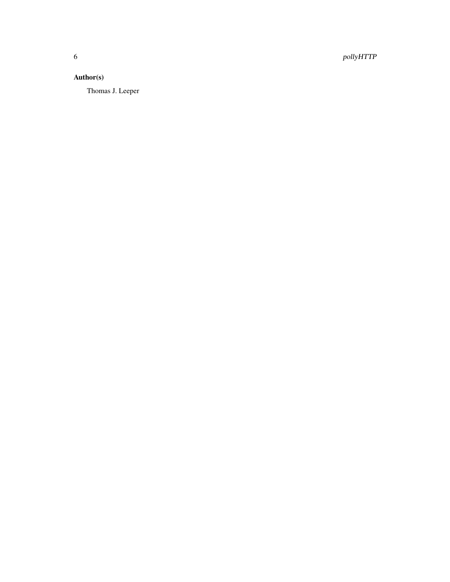6 pollyHTTP

#### Author(s)

Thomas J. Leeper